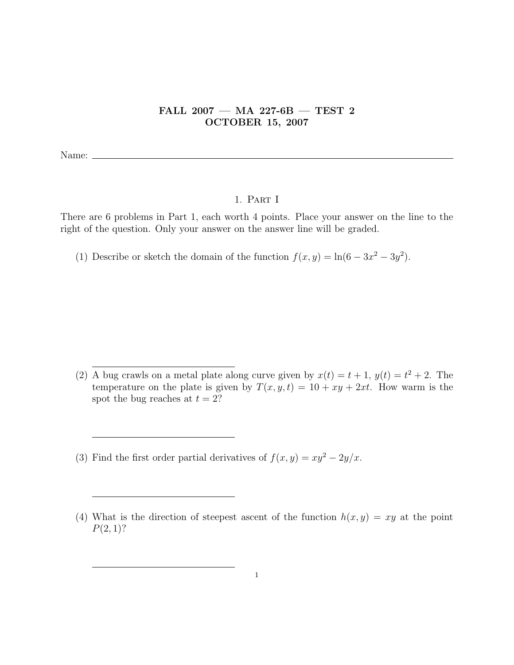## FALL 2007 — MA 227-6B — TEST 2 OCTOBER 15, 2007

Name:  $\equiv$ 

## 1. Part I

There are 6 problems in Part 1, each worth 4 points. Place your answer on the line to the right of the question. Only your answer on the answer line will be graded.

(1) Describe or sketch the domain of the function  $f(x, y) = \ln(6 - 3x^2 - 3y^2)$ .

(3) Find the first order partial derivatives of  $f(x, y) = xy^2 - 2y/x$ .

<sup>(2)</sup> A bug crawls on a metal plate along curve given by  $x(t) = t + 1$ ,  $y(t) = t^2 + 2$ . The temperature on the plate is given by  $T(x, y, t) = 10 + xy + 2xt$ . How warm is the spot the bug reaches at  $t = 2$ ?

<sup>(4)</sup> What is the direction of steepest ascent of the function  $h(x, y) = xy$  at the point  $P(2, 1)$ ?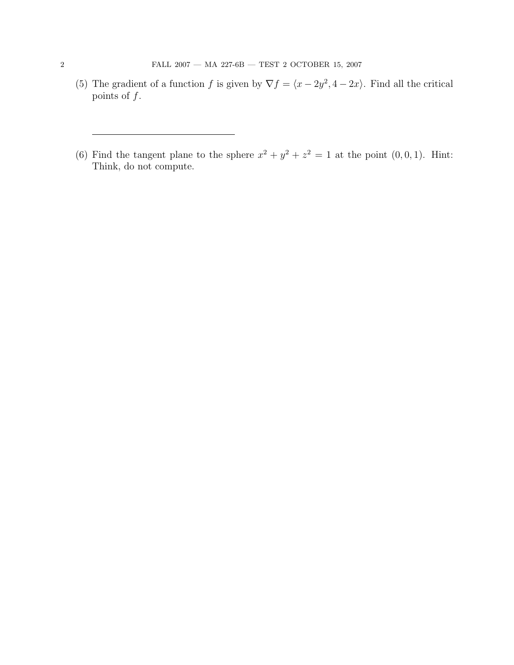- (5) The gradient of a function f is given by  $\nabla f = \langle x 2y^2, 4 2x \rangle$ . Find all the critical points of  $f$ .
- (6) Find the tangent plane to the sphere  $x^2 + y^2 + z^2 = 1$  at the point  $(0, 0, 1)$ . Hint: Think, do not compute.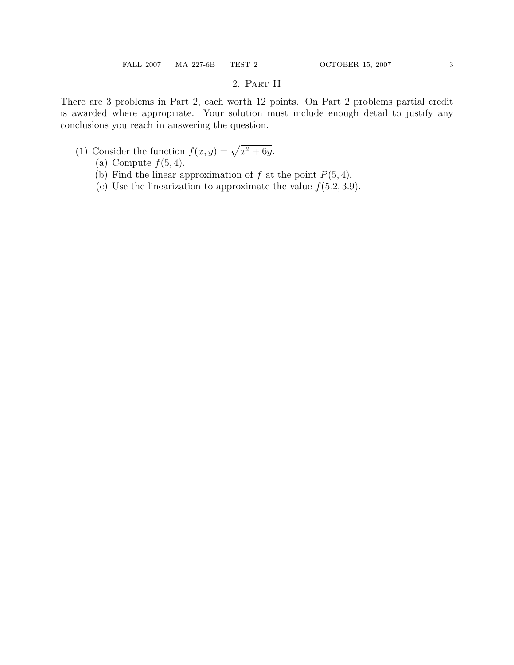## 2. Part II

There are 3 problems in Part 2, each worth 12 points. On Part 2 problems partial credit is awarded where appropriate. Your solution must include enough detail to justify any conclusions you reach in answering the question.

- (1) Consider the function  $f(x, y) = \sqrt{x^2 + 6y}$ .
	- (a) Compute  $f(5, 4)$ .
	- (b) Find the linear approximation of f at the point  $P(5, 4)$ .
	- (c) Use the linearization to approximate the value  $f(5.2, 3.9)$ .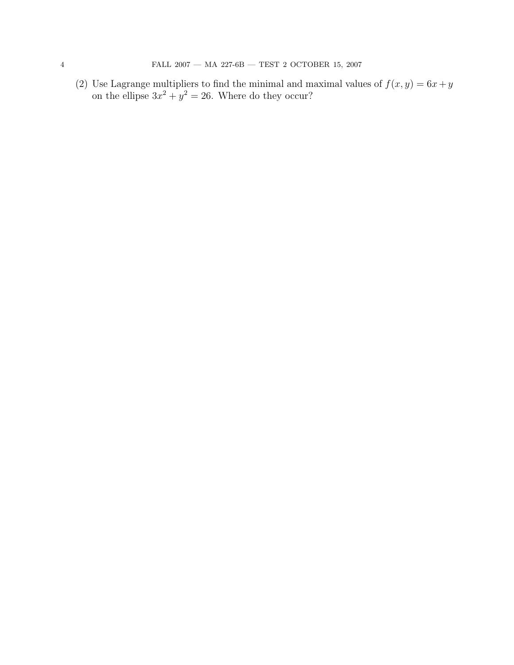(2) Use Lagrange multipliers to find the minimal and maximal values of  $f(x, y) = 6x + y$ on the ellipse  $3x^2 + y^2 = 26$ . Where do they occur?